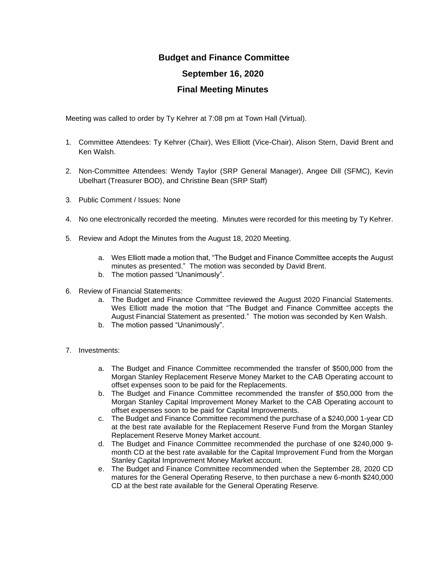## **Budget and Finance Committee September 16, 2020 Final Meeting Minutes**

Meeting was called to order by Ty Kehrer at 7:08 pm at Town Hall (Virtual).

- 1. Committee Attendees: Ty Kehrer (Chair), Wes Elliott (Vice-Chair), Alison Stern, David Brent and Ken Walsh.
- 2. Non-Committee Attendees: Wendy Taylor (SRP General Manager), Angee Dill (SFMC), Kevin Ubelhart (Treasurer BOD), and Christine Bean (SRP Staff)
- 3. Public Comment / Issues: None
- 4. No one electronically recorded the meeting. Minutes were recorded for this meeting by Ty Kehrer.
- 5. Review and Adopt the Minutes from the August 18, 2020 Meeting.
	- a. Wes Elliott made a motion that, "The Budget and Finance Committee accepts the August minutes as presented." The motion was seconded by David Brent.
	- b. The motion passed "Unanimously".
- 6. Review of Financial Statements:
	- a. The Budget and Finance Committee reviewed the August 2020 Financial Statements. Wes Elliott made the motion that "The Budget and Finance Committee accepts the August Financial Statement as presented." The motion was seconded by Ken Walsh.
	- b. The motion passed "Unanimously".
- 7. Investments:
	- a. The Budget and Finance Committee recommended the transfer of \$500,000 from the Morgan Stanley Replacement Reserve Money Market to the CAB Operating account to offset expenses soon to be paid for the Replacements.
	- b. The Budget and Finance Committee recommended the transfer of \$50,000 from the Morgan Stanley Capital Improvement Money Market to the CAB Operating account to offset expenses soon to be paid for Capital Improvements.
	- c. The Budget and Finance Committee recommend the purchase of a \$240,000 1-year CD at the best rate available for the Replacement Reserve Fund from the Morgan Stanley Replacement Reserve Money Market account.
	- d. The Budget and Finance Committee recommended the purchase of one \$240,000 9 month CD at the best rate available for the Capital Improvement Fund from the Morgan Stanley Capital Improvement Money Market account.
	- e. The Budget and Finance Committee recommended when the September 28, 2020 CD matures for the General Operating Reserve, to then purchase a new 6-month \$240,000 CD at the best rate available for the General Operating Reserve.